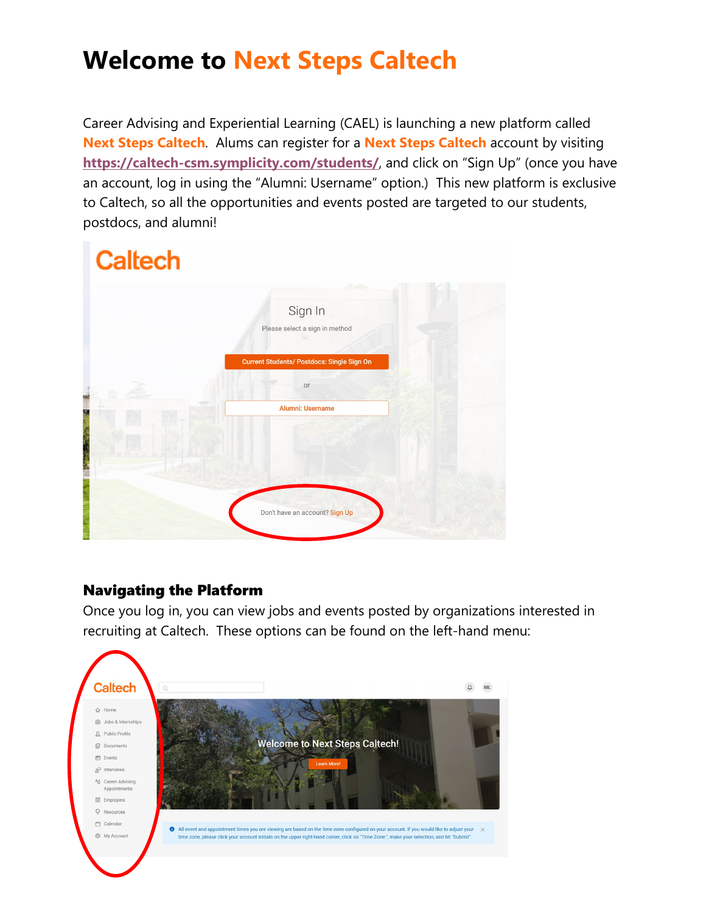# **Welcome to Next Steps Caltech**

Career Advising and Experiential Learning (CAEL) is launching a new platform called **Next Steps Caltech**. Alums can register for a **Next Steps Caltech** account by visiting **<https://caltech-csm.symplicity.com/students/>**, and click on "Sign Up" (once you have an account, log in using the "Alumni: Username" option.) This new platform is exclusive to Caltech, so all the opportunities and events posted are targeted to our students, postdocs, and alumni!

# **Caltech** Sign In Please select a sign in method Current Students/ Postdocs: Single Sign On  $\circ$ Alumni: Username Don't have an account? Sign Up

#### Navigating the Platform

Once you log in, you can view jobs and events posted by organizations interested in recruiting at Caltech. These options can be found on the left-hand menu:

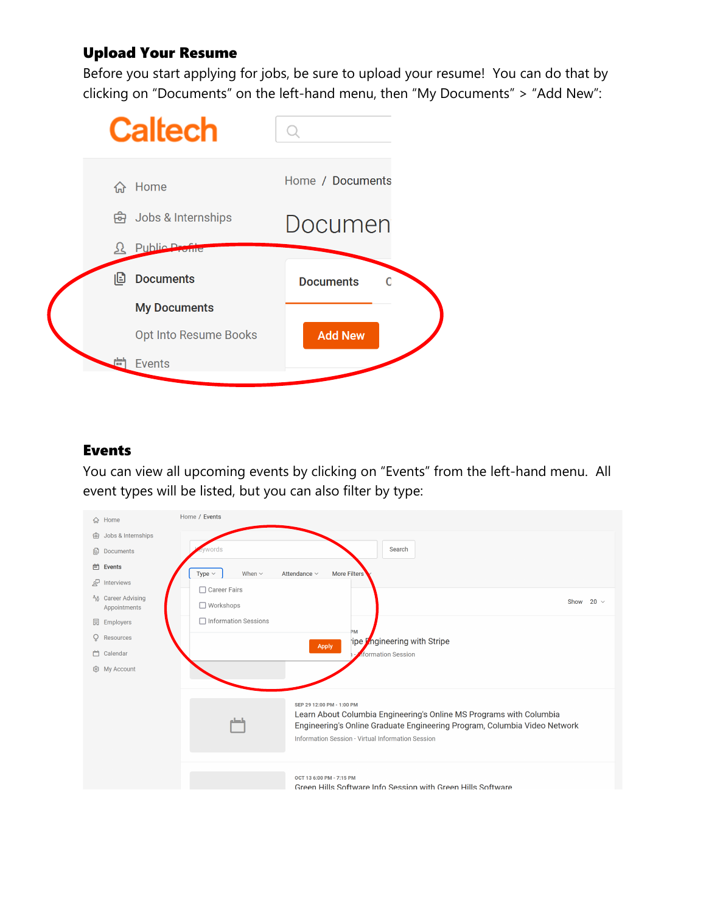## Upload Your Resume

Before you start applying for jobs, be sure to upload your resume! You can do that by clicking on "Documents" on the left-hand menu, then "My Documents" > "Add New":



#### Events

You can view all upcoming events by clicking on "Events" from the left-hand menu. All event types will be listed, but you can also filter by type: